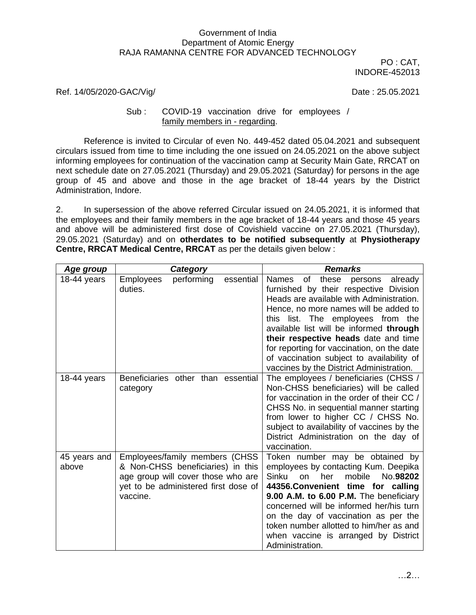## Government of India Department of Atomic Energy RAJA RAMANNA CENTRE FOR ADVANCED TECHNOLOGY

PO : CAT, INDORE-452013

## Ref. 14/05/2020-GAC/Vig/ Date : 25.05.2021

## Sub : COVID-19 vaccination drive for employees / family members in - regarding.

Reference is invited to Circular of even No. 449-452 dated 05.04.2021 and subsequent circulars issued from time to time including the one issued on 24.05.2021 on the above subject informing employees for continuation of the vaccination camp at Security Main Gate, RRCAT on next schedule date on 27.05.2021 (Thursday) and 29.05.2021 (Saturday) for persons in the age group of 45 and above and those in the age bracket of 18-44 years by the District Administration, Indore.

2. In supersession of the above referred Circular issued on 24.05.2021, it is informed that the employees and their family members in the age bracket of 18-44 years and those 45 years and above will be administered first dose of Covishield vaccine on 27.05.2021 (Thursday), 29.05.2021 (Saturday) and on **otherdates to be notified subsequently** at **Physiotherapy Centre, RRCAT Medical Centre, RRCAT** as per the details given below :

| <u>Age group</u>      | Category                                                                                                                                                      | <b>Remarks</b>                                                                                                                                                                                                                                                                                                                                                                                                                                     |  |  |
|-----------------------|---------------------------------------------------------------------------------------------------------------------------------------------------------------|----------------------------------------------------------------------------------------------------------------------------------------------------------------------------------------------------------------------------------------------------------------------------------------------------------------------------------------------------------------------------------------------------------------------------------------------------|--|--|
| 18-44 years           | <b>Employees</b><br>performing<br>essential<br>duties.                                                                                                        | <b>Names</b><br>of<br>these<br>already<br>persons<br>furnished by their respective Division<br>Heads are available with Administration.<br>Hence, no more names will be added to<br>list. The employees from the<br>this<br>available list will be informed through<br>their respective heads date and time<br>for reporting for vaccination, on the date<br>of vaccination subject to availability of<br>vaccines by the District Administration. |  |  |
| 18-44 years           | Beneficiaries other than essential<br>category                                                                                                                | The employees / beneficiaries (CHSS /<br>Non-CHSS beneficiaries) will be called<br>for vaccination in the order of their CC /<br>CHSS No. in sequential manner starting<br>from lower to higher CC / CHSS No.<br>subject to availability of vaccines by the<br>District Administration on the day of<br>vaccination.                                                                                                                               |  |  |
| 45 years and<br>above | Employees/family members (CHSS<br>& Non-CHSS beneficiaries) in this<br>age group will cover those who are<br>yet to be administered first dose of<br>vaccine. | Token number may be obtained by<br>employees by contacting Kum. Deepika<br>Sinku<br>mobile<br>No.98202<br>her<br>on<br>44356. Convenient time for calling<br>9.00 A.M. to 6.00 P.M. The beneficiary<br>concerned will be informed her/his turn<br>on the day of vaccination as per the<br>token number allotted to him/her as and<br>when vaccine is arranged by District<br>Administration.                                                       |  |  |